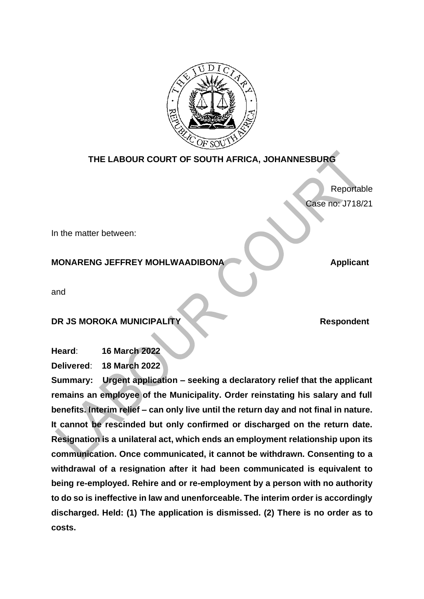

# **THE LABOUR COURT OF SOUTH AFRICA, JOHANNESBURG**

Reportable Case no: J718/21

In the matter between:

# **MONARENG JEFFREY MOHLWAADIBONA Applicant**

and

# **DR JS MOROKA MUNICIPALITY Respondent**

**Heard**: **16 March 2022**

**Delivered**: **18 March 2022**

**Summary: Urgent application – seeking a declaratory relief that the applicant remains an employee of the Municipality. Order reinstating his salary and full benefits. Interim relief – can only live until the return day and not final in nature. It cannot be rescinded but only confirmed or discharged on the return date. Resignation is a unilateral act, which ends an employment relationship upon its communication. Once communicated, it cannot be withdrawn. Consenting to a withdrawal of a resignation after it had been communicated is equivalent to being re-employed. Rehire and or re-employment by a person with no authority to do so is ineffective in law and unenforceable. The interim order is accordingly discharged. Held: (1) The application is dismissed. (2) There is no order as to costs.**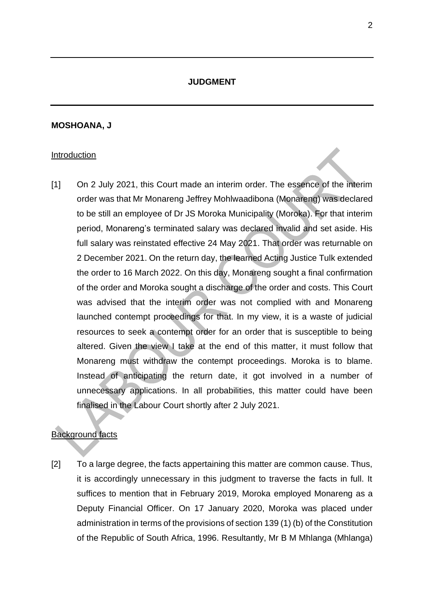## **JUDGMENT**

### **MOSHOANA, J**

#### Introduction

[1] On 2 July 2021, this Court made an interim order. The essence of the interim order was that Mr Monareng Jeffrey Mohlwaadibona (Monareng) was declared to be still an employee of Dr JS Moroka Municipality (Moroka). For that interim period, Monareng's terminated salary was declared invalid and set aside. His full salary was reinstated effective 24 May 2021. That order was returnable on 2 December 2021. On the return day, the learned Acting Justice Tulk extended the order to 16 March 2022. On this day, Monareng sought a final confirmation of the order and Moroka sought a discharge of the order and costs. This Court was advised that the interim order was not complied with and Monareng launched contempt proceedings for that. In my view, it is a waste of judicial resources to seek a contempt order for an order that is susceptible to being altered. Given the view I take at the end of this matter, it must follow that Monareng must withdraw the contempt proceedings. Moroka is to blame. Instead of anticipating the return date, it got involved in a number of unnecessary applications. In all probabilities, this matter could have been finalised in the Labour Court shortly after 2 July 2021.

## Background facts

[2] To a large degree, the facts appertaining this matter are common cause. Thus, it is accordingly unnecessary in this judgment to traverse the facts in full. It suffices to mention that in February 2019, Moroka employed Monareng as a Deputy Financial Officer. On 17 January 2020, Moroka was placed under administration in terms of the provisions of section 139 (1) (b) of the Constitution of the Republic of South Africa, 1996. Resultantly, Mr B M Mhlanga (Mhlanga)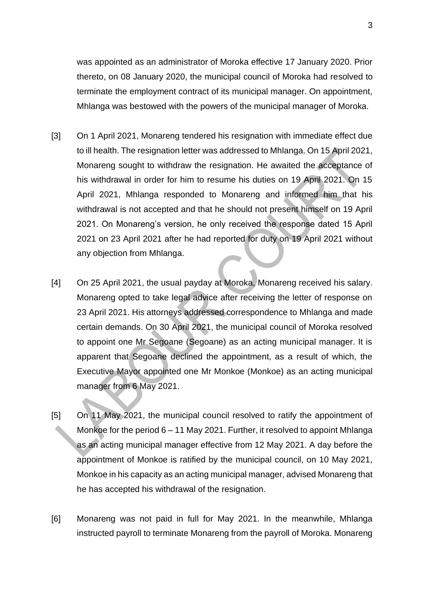was appointed as an administrator of Moroka effective 17 January 2020. Prior thereto, on 08 January 2020, the municipal council of Moroka had resolved to terminate the employment contract of its municipal manager. On appointment, Mhlanga was bestowed with the powers of the municipal manager of Moroka.

- [3] On 1 April 2021, Monareng tendered his resignation with immediate effect due to ill health. The resignation letter was addressed to Mhlanga. On 15 April 2021, Monareng sought to withdraw the resignation. He awaited the acceptance of his withdrawal in order for him to resume his duties on 19 April 2021. On 15 April 2021, Mhlanga responded to Monareng and informed him that his withdrawal is not accepted and that he should not present himself on 19 April 2021. On Monareng's version, he only received the response dated 15 April 2021 on 23 April 2021 after he had reported for duty on 19 April 2021 without any objection from Mhlanga.
- [4] On 25 April 2021, the usual payday at Moroka, Monareng received his salary. Monareng opted to take legal advice after receiving the letter of response on 23 April 2021. His attorneys addressed correspondence to Mhlanga and made certain demands. On 30 April 2021, the municipal council of Moroka resolved to appoint one Mr Segoane (Segoane) as an acting municipal manager. It is apparent that Segoane declined the appointment, as a result of which, the Executive Mayor appointed one Mr Monkoe (Monkoe) as an acting municipal manager from 6 May 2021.
- [5] On 11 May 2021, the municipal council resolved to ratify the appointment of Monkoe for the period 6 – 11 May 2021. Further, it resolved to appoint Mhlanga as an acting municipal manager effective from 12 May 2021. A day before the appointment of Monkoe is ratified by the municipal council, on 10 May 2021, Monkoe in his capacity as an acting municipal manager, advised Monareng that he has accepted his withdrawal of the resignation.
- [6] Monareng was not paid in full for May 2021. In the meanwhile, Mhlanga instructed payroll to terminate Monareng from the payroll of Moroka. Monareng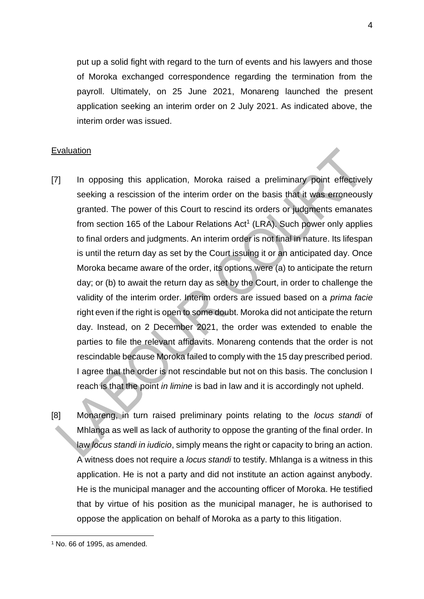put up a solid fight with regard to the turn of events and his lawyers and those of Moroka exchanged correspondence regarding the termination from the payroll. Ultimately, on 25 June 2021, Monareng launched the present application seeking an interim order on 2 July 2021. As indicated above, the interim order was issued.

### Evaluation

- [7] In opposing this application, Moroka raised a preliminary point effectively seeking a rescission of the interim order on the basis that it was erroneously granted. The power of this Court to rescind its orders or judgments emanates from section 165 of the Labour Relations  $Act<sup>1</sup>$  (LRA). Such power only applies to final orders and judgments. An interim order is not final in nature. Its lifespan is until the return day as set by the Court issuing it or an anticipated day. Once Moroka became aware of the order, its options were (a) to anticipate the return day; or (b) to await the return day as set by the Court, in order to challenge the validity of the interim order. Interim orders are issued based on a *prima facie* right even if the right is open to some doubt. Moroka did not anticipate the return day. Instead, on 2 December 2021, the order was extended to enable the parties to file the relevant affidavits. Monareng contends that the order is not rescindable because Moroka failed to comply with the 15 day prescribed period. I agree that the order is not rescindable but not on this basis. The conclusion I reach is that the point *in limine* is bad in law and it is accordingly not upheld.
- [8] Monareng, in turn raised preliminary points relating to the *locus standi* of Mhlanga as well as lack of authority to oppose the granting of the final order. In law *locus standi in iudicio*, simply means the right or capacity to bring an action. A witness does not require a *locus standi* to testify. Mhlanga is a witness in this application. He is not a party and did not institute an action against anybody. He is the municipal manager and the accounting officer of Moroka. He testified that by virtue of his position as the municipal manager, he is authorised to oppose the application on behalf of Moroka as a party to this litigation.

 $1$  No. 66 of 1995, as amended.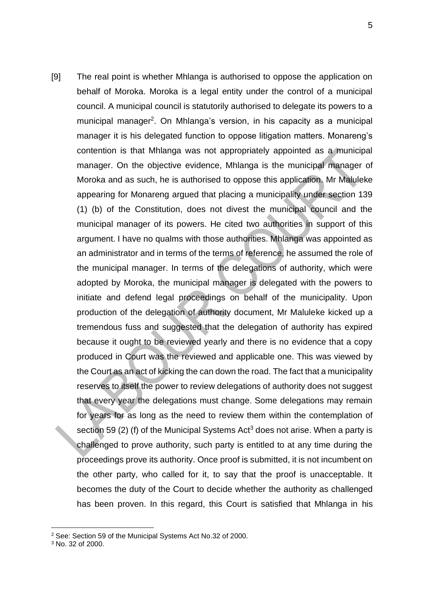[9] The real point is whether Mhlanga is authorised to oppose the application on behalf of Moroka. Moroka is a legal entity under the control of a municipal council. A municipal council is statutorily authorised to delegate its powers to a municipal manager<sup>2</sup>. On Mhlanga's version, in his capacity as a municipal manager it is his delegated function to oppose litigation matters. Monareng's contention is that Mhlanga was not appropriately appointed as a municipal manager. On the objective evidence, Mhlanga is the municipal manager of Moroka and as such, he is authorised to oppose this application. Mr Maluleke appearing for Monareng argued that placing a municipality under section 139 (1) (b) of the Constitution, does not divest the municipal council and the municipal manager of its powers. He cited two authorities in support of this argument. I have no qualms with those authorities. Mhlanga was appointed as an administrator and in terms of the terms of reference, he assumed the role of the municipal manager. In terms of the delegations of authority, which were adopted by Moroka, the municipal manager is delegated with the powers to initiate and defend legal proceedings on behalf of the municipality. Upon production of the delegation of authority document, Mr Maluleke kicked up a tremendous fuss and suggested that the delegation of authority has expired because it ought to be reviewed yearly and there is no evidence that a copy produced in Court was the reviewed and applicable one. This was viewed by the Court as an act of kicking the can down the road. The fact that a municipality reserves to itself the power to review delegations of authority does not suggest that every year the delegations must change. Some delegations may remain for years for as long as the need to review them within the contemplation of section 59 (2) (f) of the Municipal Systems Act<sup>3</sup> does not arise. When a party is challenged to prove authority, such party is entitled to at any time during the proceedings prove its authority. Once proof is submitted, it is not incumbent on the other party, who called for it, to say that the proof is unacceptable. It becomes the duty of the Court to decide whether the authority as challenged has been proven. In this regard, this Court is satisfied that Mhlanga in his

<sup>2</sup> See: Section 59 of the Municipal Systems Act No.32 of 2000.

<sup>3</sup> No. 32 of 2000.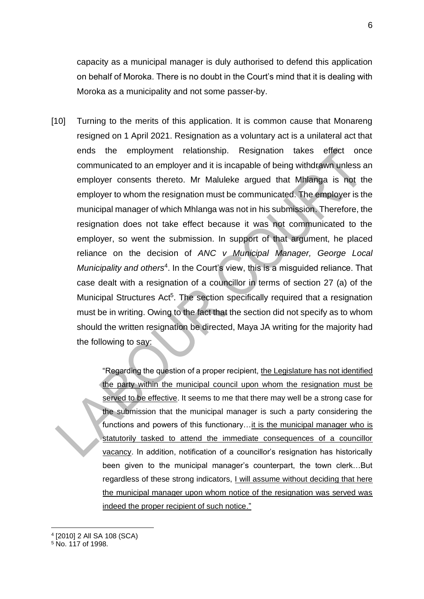capacity as a municipal manager is duly authorised to defend this application on behalf of Moroka. There is no doubt in the Court's mind that it is dealing with Moroka as a municipality and not some passer-by.

[10] Turning to the merits of this application. It is common cause that Monareng resigned on 1 April 2021. Resignation as a voluntary act is a unilateral act that ends the employment relationship. Resignation takes effect once communicated to an employer and it is incapable of being withdrawn unless an employer consents thereto. Mr Maluleke argued that Mhlanga is not the employer to whom the resignation must be communicated. The employer is the municipal manager of which Mhlanga was not in his submission. Therefore, the resignation does not take effect because it was not communicated to the employer, so went the submission. In support of that argument, he placed reliance on the decision of *ANC v Municipal Manager, George Local*  Municipality and others<sup>4</sup>. In the Court's view, this is a misguided reliance. That case dealt with a resignation of a councillor in terms of section 27 (a) of the Municipal Structures Act<sup>5</sup>. The section specifically required that a resignation must be in writing. Owing to the fact that the section did not specify as to whom should the written resignation be directed, Maya JA writing for the majority had the following to say:

> "Regarding the question of a proper recipient, the Legislature has not identified the party within the municipal council upon whom the resignation must be served to be effective. It seems to me that there may well be a strong case for the submission that the municipal manager is such a party considering the functions and powers of this functionary…it is the municipal manager who is statutorily tasked to attend the immediate consequences of a councillor vacancy. In addition, notification of a councillor's resignation has historically been given to the municipal manager's counterpart, the town clerk…But regardless of these strong indicators, I will assume without deciding that here the municipal manager upon whom notice of the resignation was served was indeed the proper recipient of such notice."

<sup>4</sup> [2010] 2 All SA 108 (SCA)

<sup>5</sup> No. 117 of 1998.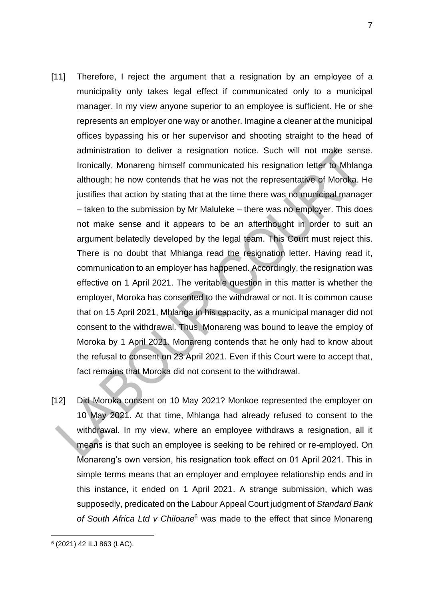- [11] Therefore, I reject the argument that a resignation by an employee of a municipality only takes legal effect if communicated only to a municipal manager. In my view anyone superior to an employee is sufficient. He or she represents an employer one way or another. Imagine a cleaner at the municipal offices bypassing his or her supervisor and shooting straight to the head of administration to deliver a resignation notice. Such will not make sense. Ironically, Monareng himself communicated his resignation letter to Mhlanga although; he now contends that he was not the representative of Moroka. He justifies that action by stating that at the time there was no municipal manager – taken to the submission by Mr Maluleke – there was no employer. This does not make sense and it appears to be an afterthought in order to suit an argument belatedly developed by the legal team. This Court must reject this. There is no doubt that Mhlanga read the resignation letter. Having read it, communication to an employer has happened. Accordingly, the resignation was effective on 1 April 2021. The veritable question in this matter is whether the employer, Moroka has consented to the withdrawal or not. It is common cause that on 15 April 2021, Mhlanga in his capacity, as a municipal manager did not consent to the withdrawal. Thus, Monareng was bound to leave the employ of Moroka by 1 April 2021. Monareng contends that he only had to know about the refusal to consent on 23 April 2021. Even if this Court were to accept that, fact remains that Moroka did not consent to the withdrawal.
- [12] Did Moroka consent on 10 May 2021? Monkoe represented the employer on 10 May 2021. At that time, Mhlanga had already refused to consent to the withdrawal. In my view, where an employee withdraws a resignation, all it means is that such an employee is seeking to be rehired or re-employed. On Monareng's own version, his resignation took effect on 01 April 2021. This in simple terms means that an employer and employee relationship ends and in this instance, it ended on 1 April 2021. A strange submission, which was supposedly, predicated on the Labour Appeal Court judgment of *Standard Bank of South Africa Ltd v Chiloane*<sup>6</sup> was made to the effect that since Monareng

<sup>6</sup> (2021) 42 ILJ 863 (LAC).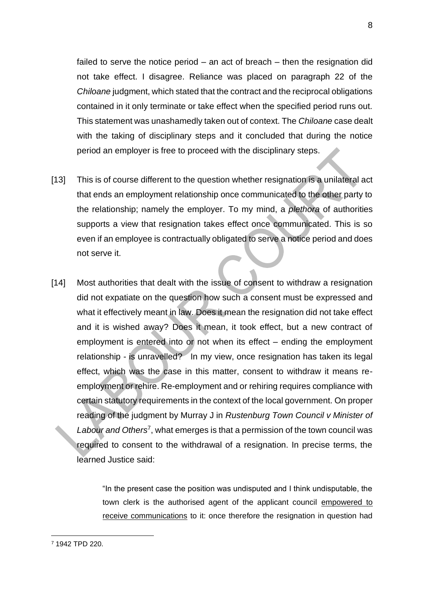failed to serve the notice period – an act of breach – then the resignation did not take effect. I disagree. Reliance was placed on paragraph 22 of the *Chiloane* judgment, which stated that the contract and the reciprocal obligations contained in it only terminate or take effect when the specified period runs out. This statement was unashamedly taken out of context. The *Chiloane* case dealt with the taking of disciplinary steps and it concluded that during the notice period an employer is free to proceed with the disciplinary steps.

- [13] This is of course different to the question whether resignation is a unilateral act that ends an employment relationship once communicated to the other party to the relationship; namely the employer. To my mind, a *plethora* of authorities supports a view that resignation takes effect once communicated. This is so even if an employee is contractually obligated to serve a notice period and does not serve it.
- [14] Most authorities that dealt with the issue of consent to withdraw a resignation did not expatiate on the question how such a consent must be expressed and what it effectively meant in law. Does it mean the resignation did not take effect and it is wished away? Does it mean, it took effect, but a new contract of employment is entered into or not when its effect – ending the employment relationship - is unravelled? In my view, once resignation has taken its legal effect, which was the case in this matter, consent to withdraw it means reemployment or rehire. Re-employment and or rehiring requires compliance with certain statutory requirements in the context of the local government. On proper reading of the judgment by Murray J in *Rustenburg Town Council v Minister of*  Labour and Others<sup>7</sup>, what emerges is that a permission of the town council was required to consent to the withdrawal of a resignation. In precise terms, the learned Justice said:

"In the present case the position was undisputed and I think undisputable, the town clerk is the authorised agent of the applicant council empowered to receive communications to it: once therefore the resignation in question had

<sup>7</sup> 1942 TPD 220.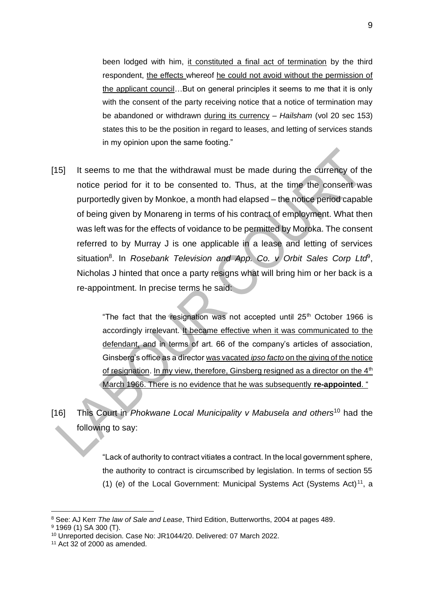been lodged with him, it constituted a final act of termination by the third respondent, the effects whereof he could not avoid without the permission of the applicant council…But on general principles it seems to me that it is only with the consent of the party receiving notice that a notice of termination may be abandoned or withdrawn during its currency – *Hailsham* (vol 20 sec 153) states this to be the position in regard to leases, and letting of services stands in my opinion upon the same footing."

[15] It seems to me that the withdrawal must be made during the currency of the notice period for it to be consented to. Thus, at the time the consent was purportedly given by Monkoe, a month had elapsed – the notice period capable of being given by Monareng in terms of his contract of employment. What then was left was for the effects of voidance to be permitted by Moroka. The consent referred to by Murray J is one applicable in a lease and letting of services situation<sup>8</sup>. In *Rosebank Television and App. Co. v Orbit Sales Corp Ltd<sup>9</sup>,* Nicholas J hinted that once a party resigns what will bring him or her back is a re-appointment. In precise terms he said:

> "The fact that the resignation was not accepted until  $25<sup>th</sup>$  October 1966 is accordingly irrelevant. It became effective when it was communicated to the defendant, and in terms of art. 66 of the company's articles of association, Ginsberg's office as a director was vacated *ipso facto* on the giving of the notice of resignation. In my view, therefore, Ginsberg resigned as a director on the  $4<sup>th</sup>$ March 1966. There is no evidence that he was subsequently **re-appointed**. "

[16] This Court in *Phokwane Local Municipality v Mabusela and others*<sup>10</sup> had the following to say:

> "Lack of authority to contract vitiates a contract. In the local government sphere, the authority to contract is circumscribed by legislation. In terms of section 55 (1) (e) of the Local Government: Municipal Systems Act (Systems Act)<sup>11</sup>, a

<sup>8</sup> See: AJ Kerr *The law of Sale and Lease*, Third Edition, Butterworths, 2004 at pages 489.

<sup>9</sup> 1969 (1) SA 300 (T).

<sup>10</sup> Unreported decision. Case No: JR1044/20. Delivered: 07 March 2022.

 $11$  Act 32 of 2000 as amended.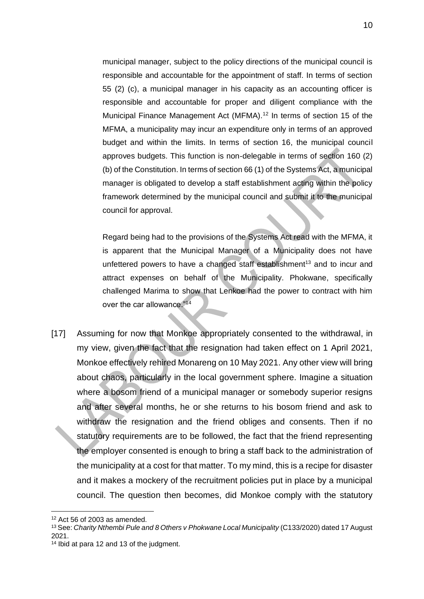municipal manager, subject to the policy directions of the municipal council is responsible and accountable for the appointment of staff. In terms of section 55 (2) (c), a municipal manager in his capacity as an accounting officer is responsible and accountable for proper and diligent compliance with the Municipal Finance Management Act (MFMA).<sup>12</sup> In terms of section 15 of the MFMA, a municipality may incur an expenditure only in terms of an approved budget and within the limits. In terms of section 16, the municipal council approves budgets. This function is non-delegable in terms of section 160 (2) (b) of the Constitution. In terms of section 66 (1) of the Systems Act, a municipal manager is obligated to develop a staff establishment acting within the policy framework determined by the municipal council and submit it to the municipal council for approval.

Regard being had to the provisions of the Systems Act read with the MFMA, it is apparent that the Municipal Manager of a Municipality does not have unfettered powers to have a changed staff establishment<sup>13</sup> and to incur and attract expenses on behalf of the Municipality. Phokwane, specifically challenged Marima to show that Lenkoe had the power to contract with him over the car allowance."<sup>14</sup>

[17] Assuming for now that Monkoe appropriately consented to the withdrawal, in my view, given the fact that the resignation had taken effect on 1 April 2021, Monkoe effectively rehired Monareng on 10 May 2021. Any other view will bring about chaos, particularly in the local government sphere. Imagine a situation where a bosom friend of a municipal manager or somebody superior resigns and after several months, he or she returns to his bosom friend and ask to withdraw the resignation and the friend obliges and consents. Then if no statutory requirements are to be followed, the fact that the friend representing the employer consented is enough to bring a staff back to the administration of the municipality at a cost for that matter. To my mind, this is a recipe for disaster and it makes a mockery of the recruitment policies put in place by a municipal council. The question then becomes, did Monkoe comply with the statutory

 $12$  Act 56 of 2003 as amended.

<sup>13</sup> See: *Charity Nthembi Pule and 8 Others v Phokwane Local Municipality* (C133/2020) dated 17 August 2021.

<sup>14</sup> Ibid at para 12 and 13 of the judgment.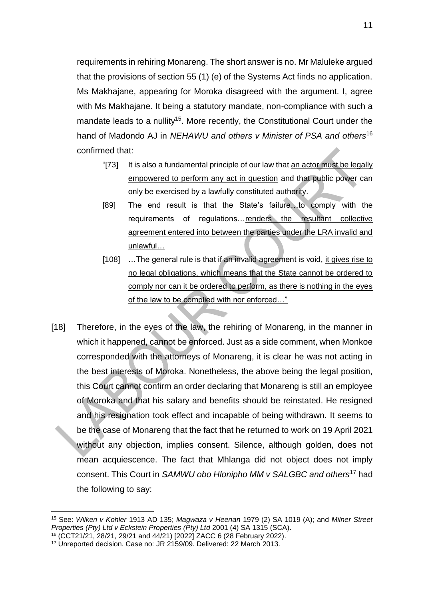requirements in rehiring Monareng. The short answer is no. Mr Maluleke argued that the provisions of section 55 (1) (e) of the Systems Act finds no application. Ms Makhajane, appearing for Moroka disagreed with the argument. I, agree with Ms Makhajane. It being a statutory mandate, non-compliance with such a mandate leads to a nullity<sup>15</sup>. More recently, the Constitutional Court under the hand of Madondo AJ in *NEHAWU and others v Minister of PSA and others*<sup>16</sup> confirmed that:

- "[73] It is also a fundamental principle of our law that an actor must be legally empowered to perform any act in question and that public power can only be exercised by a lawfully constituted authority.
- [89] The end result is that the State's failure…to comply with the requirements of regulations…renders the resultant collective agreement entered into between the parties under the LRA invalid and unlawful…
- [108] ...The general rule is that if an invalid agreement is void, it gives rise to no legal obligations, which means that the State cannot be ordered to comply nor can it be ordered to perform, as there is nothing in the eyes of the law to be complied with nor enforced…"
- [18] Therefore, in the eyes of the law, the rehiring of Monareng, in the manner in which it happened, cannot be enforced. Just as a side comment, when Monkoe corresponded with the attorneys of Monareng, it is clear he was not acting in the best interests of Moroka. Nonetheless, the above being the legal position, this Court cannot confirm an order declaring that Monareng is still an employee of Moroka and that his salary and benefits should be reinstated. He resigned and his resignation took effect and incapable of being withdrawn. It seems to be the case of Monareng that the fact that he returned to work on 19 April 2021 without any objection, implies consent. Silence, although golden, does not mean acquiescence. The fact that Mhlanga did not object does not imply consent. This Court in *SAMWU obo Hlonipho MM v SALGBC and others*<sup>17</sup> had the following to say:

<sup>15</sup> See: *Wilken v Kohler* 1913 AD 135; *Magwaza v Heenan* 1979 (2) SA 1019 (A); and *Milner Street Properties (Pty) Ltd v Eckstein Properties (Pty) Ltd* 2001 (4) SA 1315 (SCA).

<sup>16</sup> (CCT21/21, 28/21, 29/21 and 44/21) [2022] ZACC 6 (28 February 2022).

<sup>17</sup> Unreported decision. Case no: JR 2159/09. Delivered: 22 March 2013.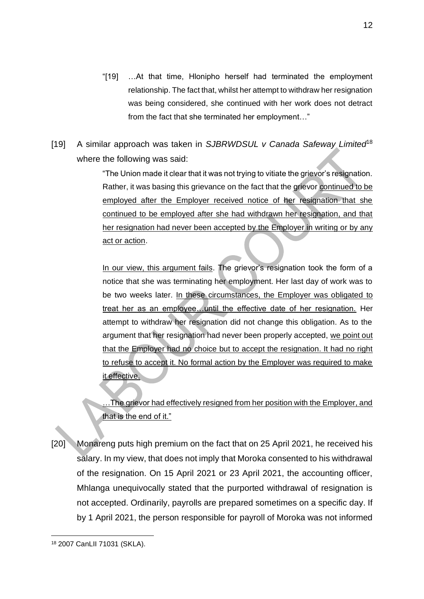- "[19] …At that time, Hlonipho herself had terminated the employment relationship. The fact that, whilst her attempt to withdraw her resignation was being considered, she continued with her work does not detract from the fact that she terminated her employment…"
- [19] A similar approach was taken in *SJBRWDSUL v Canada Safeway Limited*<sup>18</sup> where the following was said:

"The Union made it clear that it was not trying to vitiate the grievor's resignation. Rather, it was basing this grievance on the fact that the grievor continued to be employed after the Employer received notice of her resignation that she continued to be employed after she had withdrawn her resignation, and that her resignation had never been accepted by the Employer in writing or by any act or action.

In our view, this argument fails. The grievor's resignation took the form of a notice that she was terminating her employment. Her last day of work was to be two weeks later. In these circumstances, the Employer was obligated to treat her as an employee…until the effective date of her resignation. Her attempt to withdraw her resignation did not change this obligation. As to the argument that her resignation had never been properly accepted, we point out that the Employer had no choice but to accept the resignation. It had no right to refuse to accept it. No formal action by the Employer was required to make it effective.

The grievor had effectively resigned from her position with the Employer, and that is the end of it."

[20] Monareng puts high premium on the fact that on 25 April 2021, he received his salary. In my view, that does not imply that Moroka consented to his withdrawal of the resignation. On 15 April 2021 or 23 April 2021, the accounting officer, Mhlanga unequivocally stated that the purported withdrawal of resignation is not accepted. Ordinarily, payrolls are prepared sometimes on a specific day. If by 1 April 2021, the person responsible for payroll of Moroka was not informed

<sup>18</sup> 2007 CanLII 71031 (SKLA).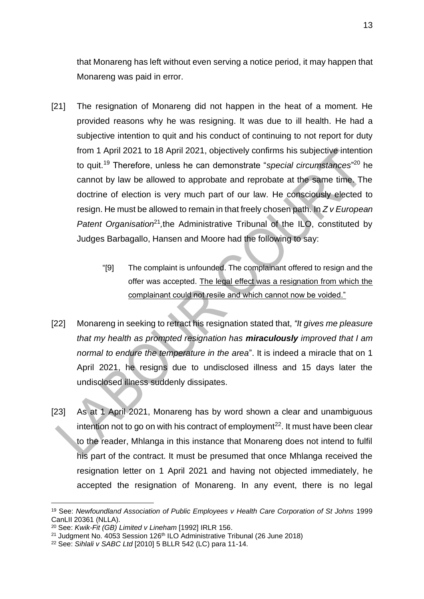that Monareng has left without even serving a notice period, it may happen that Monareng was paid in error.

- [21] The resignation of Monareng did not happen in the heat of a moment. He provided reasons why he was resigning. It was due to ill health. He had a subjective intention to quit and his conduct of continuing to not report for duty from 1 April 2021 to 18 April 2021, objectively confirms his subjective intention to quit.<sup>19</sup> Therefore, unless he can demonstrate "*special circumstances*" <sup>20</sup> he cannot by law be allowed to approbate and reprobate at the same time. The doctrine of election is very much part of our law. He consciously elected to resign. He must be allowed to remain in that freely chosen path. In *Z v European*  Patent Organisation<sup>21</sup>, the Administrative Tribunal of the ILO, constituted by Judges Barbagallo, Hansen and Moore had the following to say:
	- "[9] The complaint is unfounded. The complainant offered to resign and the offer was accepted. The legal effect was a resignation from which the complainant could not resile and which cannot now be voided."
- [22] Monareng in seeking to retract his resignation stated that, *"It gives me pleasure that my health as prompted resignation has miraculously improved that I am normal to endure the temperature in the area*". It is indeed a miracle that on 1 April 2021, he resigns due to undisclosed illness and 15 days later the undisclosed illness suddenly dissipates.
- [23] As at 1 April 2021, Monareng has by word shown a clear and unambiguous intention not to go on with his contract of employment<sup>22</sup>. It must have been clear to the reader, Mhlanga in this instance that Monareng does not intend to fulfil his part of the contract. It must be presumed that once Mhlanga received the resignation letter on 1 April 2021 and having not objected immediately, he accepted the resignation of Monareng. In any event, there is no legal

<sup>19</sup> See: *Newfoundland Association of Public Employees v Health Care Corporation of St Johns* 1999 CanLII 20361 (NLLA).

<sup>20</sup> See: *Kwik-Fit (GB) Limited v Lineham* [1992] IRLR 156.

<sup>&</sup>lt;sup>21</sup> Judgment No. 4053 Session 126<sup>th</sup> ILO Administrative Tribunal (26 June 2018)

<sup>22</sup> See: *Sihlali v SABC Ltd* [2010] 5 BLLR 542 (LC) para 11-14.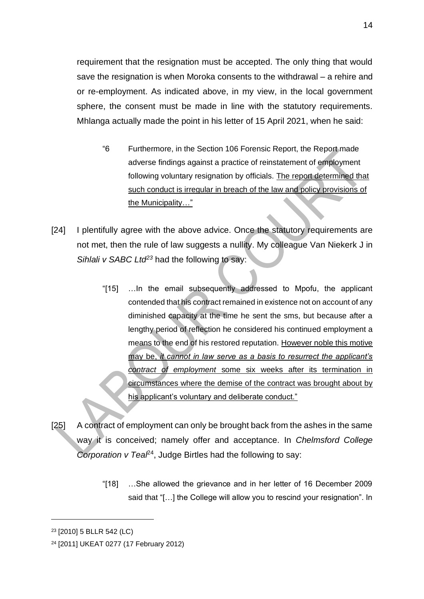requirement that the resignation must be accepted. The only thing that would save the resignation is when Moroka consents to the withdrawal – a rehire and or re-employment. As indicated above, in my view, in the local government sphere, the consent must be made in line with the statutory requirements. Mhlanga actually made the point in his letter of 15 April 2021, when he said:

- "6 Furthermore, in the Section 106 Forensic Report, the Report made adverse findings against a practice of reinstatement of employment following voluntary resignation by officials. The report determined that such conduct is irregular in breach of the law and policy provisions of the Municipality…"
- [24] I plentifully agree with the above advice. Once the statutory requirements are not met, then the rule of law suggests a nullity. My colleague Van Niekerk J in *Sihlali v SABC Ltd<sup>23</sup>* had the following to say:
	- "[15] …In the email subsequently addressed to Mpofu, the applicant contended that his contract remained in existence not on account of any diminished capacity at the time he sent the sms, but because after a lengthy period of reflection he considered his continued employment a means to the end of his restored reputation. However noble this motive may be, *it cannot in law serve as a basis to resurrect the applicant's contract of employment* some six weeks after its termination in circumstances where the demise of the contract was brought about by his applicant's voluntary and deliberate conduct."
- [25] A contract of employment can only be brought back from the ashes in the same way it is conceived; namely offer and acceptance. In *Chelmsford College Corporation v Teal<sup>24</sup>*, Judge Birtles had the following to say:
	- "[18] …She allowed the grievance and in her letter of 16 December 2009 said that "[…] the College will allow you to rescind your resignation". In

<sup>23</sup> [2010] 5 BLLR 542 (LC)

<sup>24</sup> [2011] UKEAT 0277 (17 February 2012)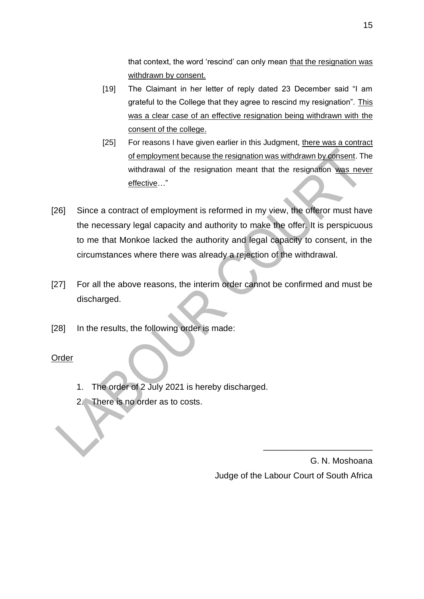that context, the word 'rescind' can only mean that the resignation was withdrawn by consent.

- [19] The Claimant in her letter of reply dated 23 December said "I am grateful to the College that they agree to rescind my resignation". This was a clear case of an effective resignation being withdrawn with the consent of the college.
- [25] For reasons I have given earlier in this Judgment, there was a contract of employment because the resignation was withdrawn by consent. The withdrawal of the resignation meant that the resignation was never effective…"
- [26] Since a contract of employment is reformed in my view, the offeror must have the necessary legal capacity and authority to make the offer. It is perspicuous to me that Monkoe lacked the authority and legal capacity to consent, in the circumstances where there was already a rejection of the withdrawal.
- [27] For all the above reasons, the interim order cannot be confirmed and must be discharged.
- [28] In the results, the following order is made:

## Order

- 1. The order of 2 July 2021 is hereby discharged.
- 2. There is no order as to costs.

G. N. Moshoana Judge of the Labour Court of South Africa

\_\_\_\_\_\_\_\_\_\_\_\_\_\_\_\_\_\_\_\_\_\_\_